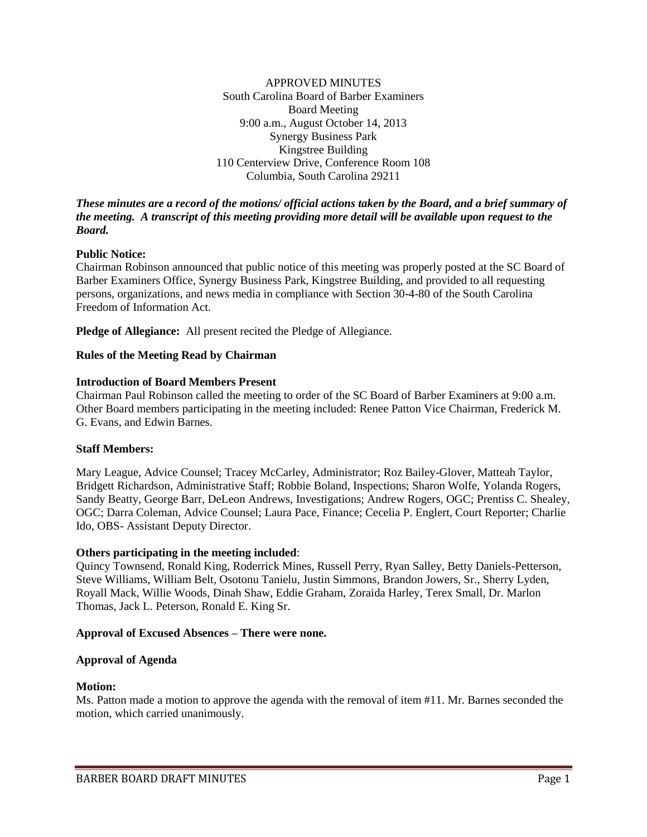APPROVED MINUTES South Carolina Board of Barber Examiners Board Meeting 9:00 a.m., August October 14, 2013 Synergy Business Park Kingstree Building 110 Centerview Drive, Conference Room 108 Columbia, South Carolina 29211

### *These minutes are a record of the motions/ official actions taken by the Board, and a brief summary of the meeting. A transcript of this meeting providing more detail will be available upon request to the Board.*

### **Public Notice:**

Chairman Robinson announced that public notice of this meeting was properly posted at the SC Board of Barber Examiners Office, Synergy Business Park, Kingstree Building, and provided to all requesting persons, organizations, and news media in compliance with Section 30-4-80 of the South Carolina Freedom of Information Act.

**Pledge of Allegiance:** All present recited the Pledge of Allegiance.

### **Rules of the Meeting Read by Chairman**

#### **Introduction of Board Members Present**

Chairman Paul Robinson called the meeting to order of the SC Board of Barber Examiners at 9:00 a.m. Other Board members participating in the meeting included: Renee Patton Vice Chairman, Frederick M. G. Evans, and Edwin Barnes.

#### **Staff Members:**

Mary League, Advice Counsel; Tracey McCarley, Administrator; Roz Bailey-Glover, Matteah Taylor, Bridgett Richardson, Administrative Staff; Robbie Boland, Inspections; Sharon Wolfe, Yolanda Rogers, Sandy Beatty, George Barr, DeLeon Andrews, Investigations; Andrew Rogers, OGC; Prentiss C. Shealey, OGC; Darra Coleman, Advice Counsel; Laura Pace, Finance; Cecelia P. Englert, Court Reporter; Charlie Ido, OBS- Assistant Deputy Director.

#### **Others participating in the meeting included**:

Quincy Townsend, Ronald King, Roderrick Mines, Russell Perry, Ryan Salley, Betty Daniels-Petterson, Steve Williams, William Belt, Osotonu Tanielu, Justin Simmons, Brandon Jowers, Sr., Sherry Lyden, Royall Mack, Willie Woods, Dinah Shaw, Eddie Graham, Zoraida Harley, Terex Small, Dr. Marlon Thomas, Jack L. Peterson, Ronald E. King Sr.

#### **Approval of Excused Absences – There were none.**

#### **Approval of Agenda**

#### **Motion:**

Ms. Patton made a motion to approve the agenda with the removal of item #11. Mr. Barnes seconded the motion, which carried unanimously.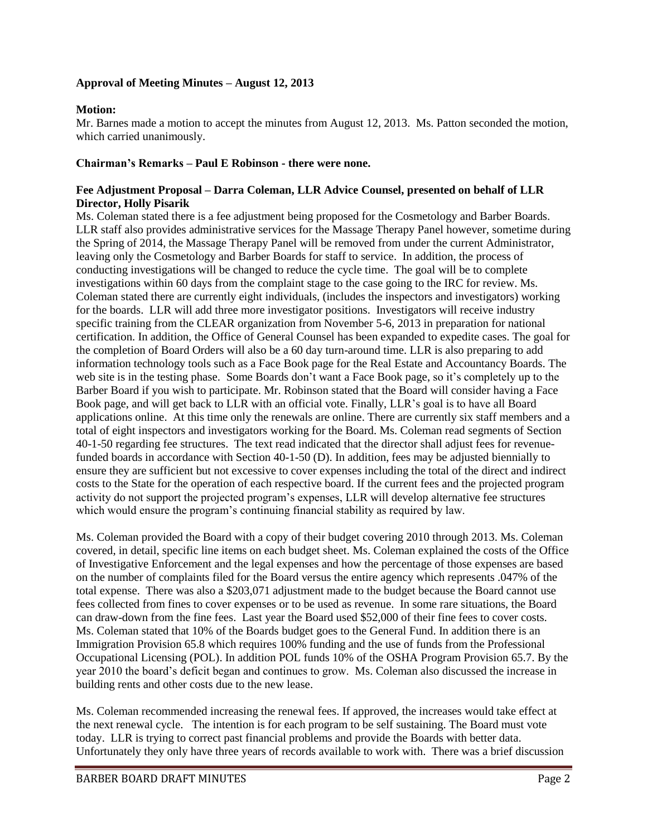# **Approval of Meeting Minutes – August 12, 2013**

# **Motion:**

Mr. Barnes made a motion to accept the minutes from August 12, 2013. Ms. Patton seconded the motion, which carried unanimously.

## **Chairman's Remarks – Paul E Robinson - there were none.**

### **Fee Adjustment Proposal – Darra Coleman, LLR Advice Counsel, presented on behalf of LLR Director, Holly Pisarik**

Ms. Coleman stated there is a fee adjustment being proposed for the Cosmetology and Barber Boards. LLR staff also provides administrative services for the Massage Therapy Panel however, sometime during the Spring of 2014, the Massage Therapy Panel will be removed from under the current Administrator, leaving only the Cosmetology and Barber Boards for staff to service. In addition, the process of conducting investigations will be changed to reduce the cycle time. The goal will be to complete investigations within 60 days from the complaint stage to the case going to the IRC for review. Ms. Coleman stated there are currently eight individuals, (includes the inspectors and investigators) working for the boards. LLR will add three more investigator positions. Investigators will receive industry specific training from the CLEAR organization from November 5-6, 2013 in preparation for national certification. In addition, the Office of General Counsel has been expanded to expedite cases. The goal for the completion of Board Orders will also be a 60 day turn-around time. LLR is also preparing to add information technology tools such as a Face Book page for the Real Estate and Accountancy Boards. The web site is in the testing phase. Some Boards don't want a Face Book page, so it's completely up to the Barber Board if you wish to participate. Mr. Robinson stated that the Board will consider having a Face Book page, and will get back to LLR with an official vote. Finally, LLR's goal is to have all Board applications online. At this time only the renewals are online. There are currently six staff members and a total of eight inspectors and investigators working for the Board. Ms. Coleman read segments of Section 40-1-50 regarding fee structures. The text read indicated that the director shall adjust fees for revenuefunded boards in accordance with Section 40-1-50 (D). In addition, fees may be adjusted biennially to ensure they are sufficient but not excessive to cover expenses including the total of the direct and indirect costs to the State for the operation of each respective board. If the current fees and the projected program activity do not support the projected program's expenses, LLR will develop alternative fee structures which would ensure the program's continuing financial stability as required by law.

Ms. Coleman provided the Board with a copy of their budget covering 2010 through 2013. Ms. Coleman covered, in detail, specific line items on each budget sheet. Ms. Coleman explained the costs of the Office of Investigative Enforcement and the legal expenses and how the percentage of those expenses are based on the number of complaints filed for the Board versus the entire agency which represents .047% of the total expense. There was also a \$203,071 adjustment made to the budget because the Board cannot use fees collected from fines to cover expenses or to be used as revenue. In some rare situations, the Board can draw-down from the fine fees. Last year the Board used \$52,000 of their fine fees to cover costs. Ms. Coleman stated that 10% of the Boards budget goes to the General Fund. In addition there is an Immigration Provision 65.8 which requires 100% funding and the use of funds from the Professional Occupational Licensing (POL). In addition POL funds 10% of the OSHA Program Provision 65.7. By the year 2010 the board's deficit began and continues to grow. Ms. Coleman also discussed the increase in building rents and other costs due to the new lease.

Ms. Coleman recommended increasing the renewal fees. If approved, the increases would take effect at the next renewal cycle. The intention is for each program to be self sustaining. The Board must vote today. LLR is trying to correct past financial problems and provide the Boards with better data. Unfortunately they only have three years of records available to work with. There was a brief discussion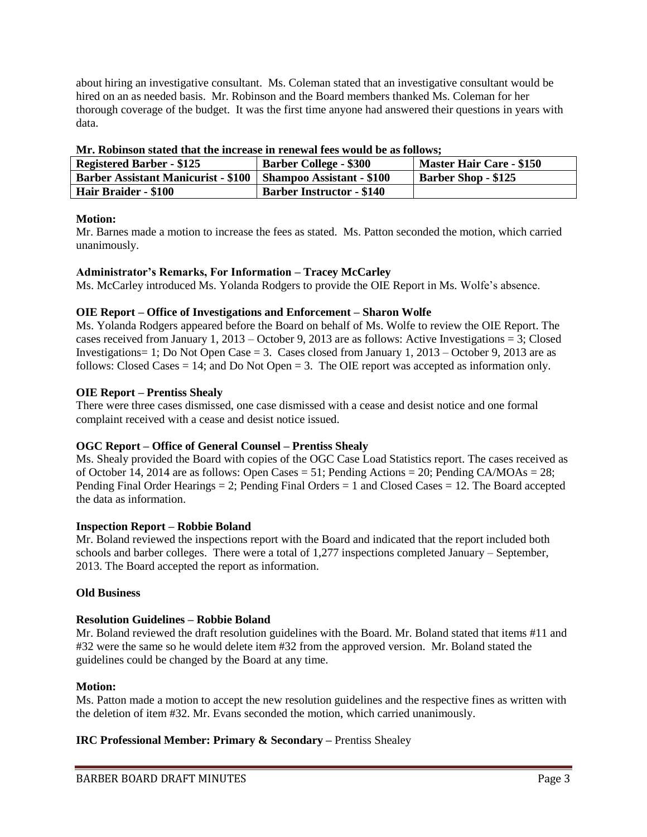about hiring an investigative consultant. Ms. Coleman stated that an investigative consultant would be hired on an as needed basis. Mr. Robinson and the Board members thanked Ms. Coleman for her thorough coverage of the budget. It was the first time anyone had answered their questions in years with data.

| TITLE TROUDING OUR DERECK WARD VILL INCLUMED IN TURNER IN HERE II OMAAN MY MY TONG HUD |                                  |                                 |
|----------------------------------------------------------------------------------------|----------------------------------|---------------------------------|
| <b>Registered Barber - \$125</b>                                                       | <b>Barber College - \$300</b>    | <b>Master Hair Care - \$150</b> |
| Barber Assistant Manicurist - \$100   Shampoo Assistant - \$100                        |                                  | <b>Barber Shop - \$125</b>      |
| Hair Braider - \$100                                                                   | <b>Barber Instructor - \$140</b> |                                 |

#### **Mr. Robinson stated that the increase in renewal fees would be as follows;**

### **Motion:**

Mr. Barnes made a motion to increase the fees as stated. Ms. Patton seconded the motion, which carried unanimously.

### **Administrator's Remarks, For Information – Tracey McCarley**

Ms. McCarley introduced Ms. Yolanda Rodgers to provide the OIE Report in Ms. Wolfe's absence.

#### **OIE Report – Office of Investigations and Enforcement – Sharon Wolfe**

Ms. Yolanda Rodgers appeared before the Board on behalf of Ms. Wolfe to review the OIE Report. The cases received from January 1, 2013 – October 9, 2013 are as follows: Active Investigations = 3; Closed Investigations = 1; Do Not Open Case = 3. Cases closed from January 1,  $2013 -$ October 9, 2013 are as follows: Closed Cases  $= 14$ ; and Do Not Open  $= 3$ . The OIE report was accepted as information only.

#### **OIE Report – Prentiss Shealy**

There were three cases dismissed, one case dismissed with a cease and desist notice and one formal complaint received with a cease and desist notice issued.

#### **OGC Report – Office of General Counsel – Prentiss Shealy**

Ms. Shealy provided the Board with copies of the OGC Case Load Statistics report. The cases received as of October 14, 2014 are as follows: Open Cases = 51; Pending Actions = 20; Pending CA/MOAs = 28; Pending Final Order Hearings  $= 2$ ; Pending Final Orders  $= 1$  and Closed Cases  $= 12$ . The Board accepted the data as information.

#### **Inspection Report – Robbie Boland**

Mr. Boland reviewed the inspections report with the Board and indicated that the report included both schools and barber colleges. There were a total of 1,277 inspections completed January – September, 2013. The Board accepted the report as information.

### **Old Business**

### **Resolution Guidelines – Robbie Boland**

Mr. Boland reviewed the draft resolution guidelines with the Board. Mr. Boland stated that items #11 and #32 were the same so he would delete item #32 from the approved version. Mr. Boland stated the guidelines could be changed by the Board at any time.

#### **Motion:**

Ms. Patton made a motion to accept the new resolution guidelines and the respective fines as written with the deletion of item #32. Mr. Evans seconded the motion, which carried unanimously.

### **IRC Professional Member: Primary & Secondary –** Prentiss Shealey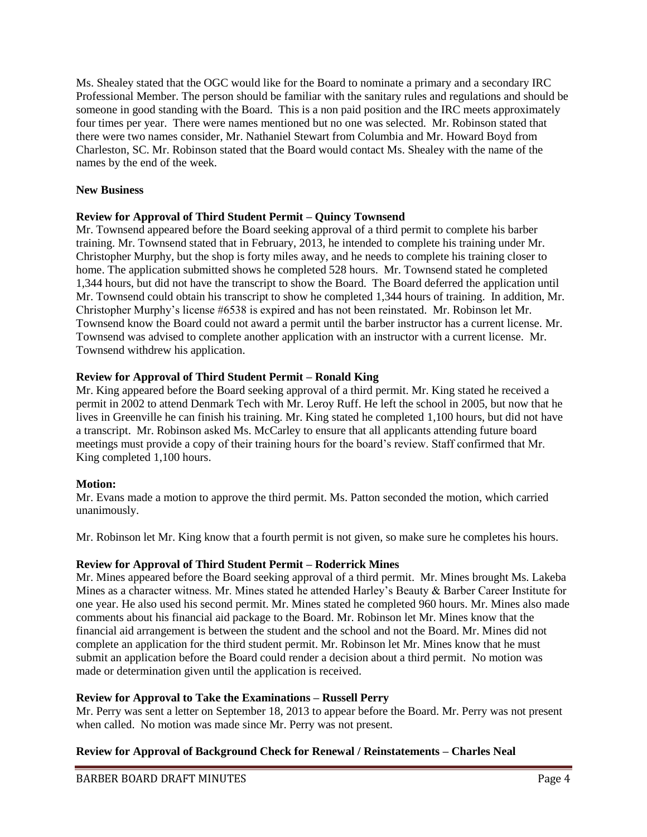Ms. Shealey stated that the OGC would like for the Board to nominate a primary and a secondary IRC Professional Member. The person should be familiar with the sanitary rules and regulations and should be someone in good standing with the Board. This is a non paid position and the IRC meets approximately four times per year. There were names mentioned but no one was selected. Mr. Robinson stated that there were two names consider, Mr. Nathaniel Stewart from Columbia and Mr. Howard Boyd from Charleston, SC. Mr. Robinson stated that the Board would contact Ms. Shealey with the name of the names by the end of the week.

## **New Business**

# **Review for Approval of Third Student Permit – Quincy Townsend**

Mr. Townsend appeared before the Board seeking approval of a third permit to complete his barber training. Mr. Townsend stated that in February, 2013, he intended to complete his training under Mr. Christopher Murphy, but the shop is forty miles away, and he needs to complete his training closer to home. The application submitted shows he completed 528 hours. Mr. Townsend stated he completed 1,344 hours, but did not have the transcript to show the Board. The Board deferred the application until Mr. Townsend could obtain his transcript to show he completed 1,344 hours of training. In addition, Mr. Christopher Murphy's license #6538 is expired and has not been reinstated. Mr. Robinson let Mr. Townsend know the Board could not award a permit until the barber instructor has a current license. Mr. Townsend was advised to complete another application with an instructor with a current license. Mr. Townsend withdrew his application.

# **Review for Approval of Third Student Permit – Ronald King**

Mr. King appeared before the Board seeking approval of a third permit. Mr. King stated he received a permit in 2002 to attend Denmark Tech with Mr. Leroy Ruff. He left the school in 2005, but now that he lives in Greenville he can finish his training. Mr. King stated he completed 1,100 hours, but did not have a transcript. Mr. Robinson asked Ms. McCarley to ensure that all applicants attending future board meetings must provide a copy of their training hours for the board's review. Staff confirmed that Mr. King completed 1,100 hours.

### **Motion:**

Mr. Evans made a motion to approve the third permit. Ms. Patton seconded the motion, which carried unanimously.

Mr. Robinson let Mr. King know that a fourth permit is not given, so make sure he completes his hours.

### **Review for Approval of Third Student Permit – Roderrick Mines**

Mr. Mines appeared before the Board seeking approval of a third permit. Mr. Mines brought Ms. Lakeba Mines as a character witness. Mr. Mines stated he attended Harley's Beauty & Barber Career Institute for one year. He also used his second permit. Mr. Mines stated he completed 960 hours. Mr. Mines also made comments about his financial aid package to the Board. Mr. Robinson let Mr. Mines know that the financial aid arrangement is between the student and the school and not the Board. Mr. Mines did not complete an application for the third student permit. Mr. Robinson let Mr. Mines know that he must submit an application before the Board could render a decision about a third permit. No motion was made or determination given until the application is received.

### **Review for Approval to Take the Examinations – Russell Perry**

Mr. Perry was sent a letter on September 18, 2013 to appear before the Board. Mr. Perry was not present when called. No motion was made since Mr. Perry was not present.

# **Review for Approval of Background Check for Renewal / Reinstatements – Charles Neal**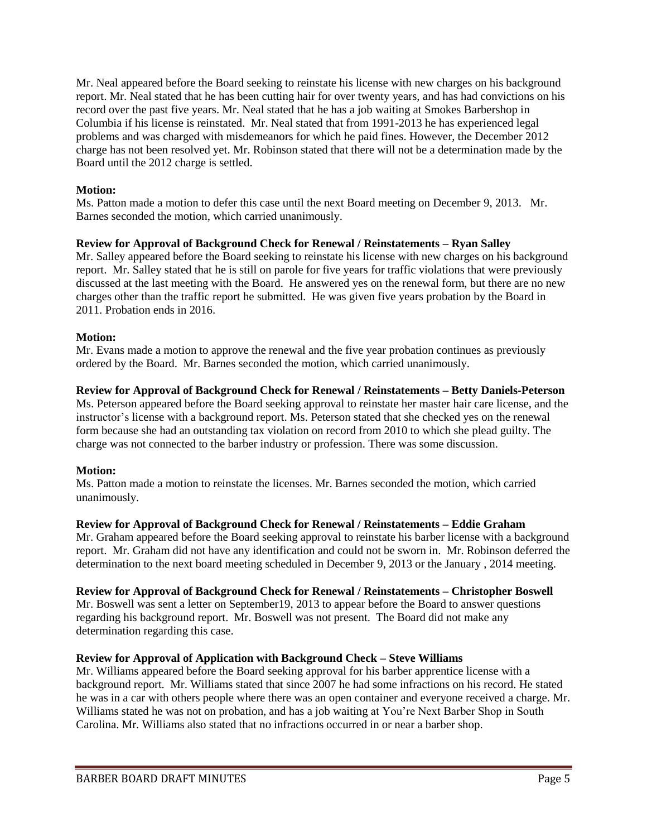Mr. Neal appeared before the Board seeking to reinstate his license with new charges on his background report. Mr. Neal stated that he has been cutting hair for over twenty years, and has had convictions on his record over the past five years. Mr. Neal stated that he has a job waiting at Smokes Barbershop in Columbia if his license is reinstated. Mr. Neal stated that from 1991-2013 he has experienced legal problems and was charged with misdemeanors for which he paid fines. However, the December 2012 charge has not been resolved yet. Mr. Robinson stated that there will not be a determination made by the Board until the 2012 charge is settled.

# **Motion:**

Ms. Patton made a motion to defer this case until the next Board meeting on December 9, 2013. Mr. Barnes seconded the motion, which carried unanimously.

# **Review for Approval of Background Check for Renewal / Reinstatements – Ryan Salley**

Mr. Salley appeared before the Board seeking to reinstate his license with new charges on his background report. Mr. Salley stated that he is still on parole for five years for traffic violations that were previously discussed at the last meeting with the Board. He answered yes on the renewal form, but there are no new charges other than the traffic report he submitted. He was given five years probation by the Board in 2011. Probation ends in 2016.

# **Motion:**

Mr. Evans made a motion to approve the renewal and the five year probation continues as previously ordered by the Board. Mr. Barnes seconded the motion, which carried unanimously.

### **Review for Approval of Background Check for Renewal / Reinstatements – Betty Daniels-Peterson**

Ms. Peterson appeared before the Board seeking approval to reinstate her master hair care license, and the instructor's license with a background report. Ms. Peterson stated that she checked yes on the renewal form because she had an outstanding tax violation on record from 2010 to which she plead guilty. The charge was not connected to the barber industry or profession. There was some discussion.

# **Motion:**

Ms. Patton made a motion to reinstate the licenses. Mr. Barnes seconded the motion, which carried unanimously.

### **Review for Approval of Background Check for Renewal / Reinstatements – Eddie Graham**

Mr. Graham appeared before the Board seeking approval to reinstate his barber license with a background report. Mr. Graham did not have any identification and could not be sworn in. Mr. Robinson deferred the determination to the next board meeting scheduled in December 9, 2013 or the January , 2014 meeting.

### **Review for Approval of Background Check for Renewal / Reinstatements – Christopher Boswell**

Mr. Boswell was sent a letter on September19, 2013 to appear before the Board to answer questions regarding his background report. Mr. Boswell was not present. The Board did not make any determination regarding this case.

### **Review for Approval of Application with Background Check – Steve Williams**

Mr. Williams appeared before the Board seeking approval for his barber apprentice license with a background report. Mr. Williams stated that since 2007 he had some infractions on his record. He stated he was in a car with others people where there was an open container and everyone received a charge. Mr. Williams stated he was not on probation, and has a job waiting at You're Next Barber Shop in South Carolina. Mr. Williams also stated that no infractions occurred in or near a barber shop.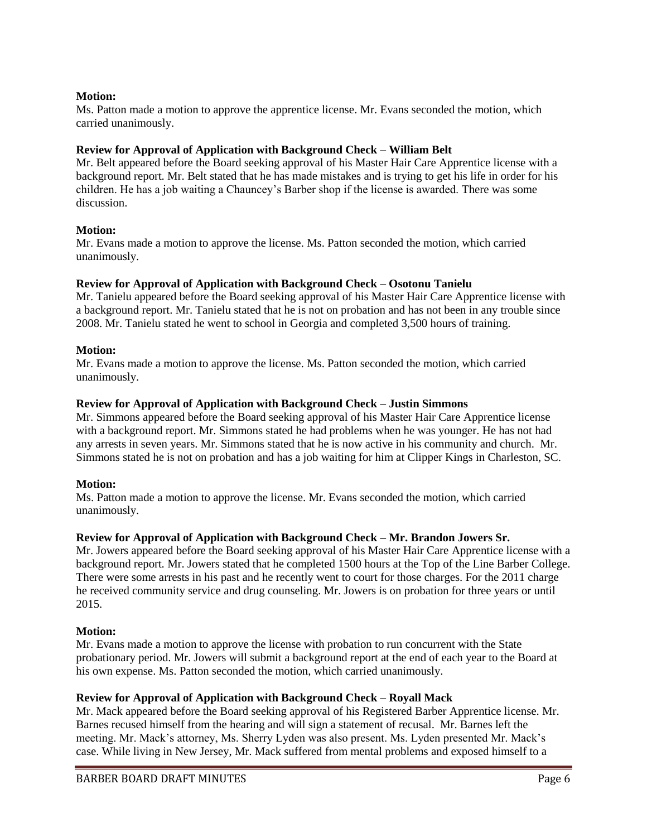# **Motion:**

Ms. Patton made a motion to approve the apprentice license. Mr. Evans seconded the motion, which carried unanimously.

# **Review for Approval of Application with Background Check – William Belt**

Mr. Belt appeared before the Board seeking approval of his Master Hair Care Apprentice license with a background report. Mr. Belt stated that he has made mistakes and is trying to get his life in order for his children. He has a job waiting a Chauncey's Barber shop if the license is awarded. There was some discussion.

# **Motion:**

Mr. Evans made a motion to approve the license. Ms. Patton seconded the motion, which carried unanimously.

# **Review for Approval of Application with Background Check – Osotonu Tanielu**

Mr. Tanielu appeared before the Board seeking approval of his Master Hair Care Apprentice license with a background report. Mr. Tanielu stated that he is not on probation and has not been in any trouble since 2008. Mr. Tanielu stated he went to school in Georgia and completed 3,500 hours of training.

### **Motion:**

Mr. Evans made a motion to approve the license. Ms. Patton seconded the motion, which carried unanimously.

# **Review for Approval of Application with Background Check – Justin Simmons**

Mr. Simmons appeared before the Board seeking approval of his Master Hair Care Apprentice license with a background report. Mr. Simmons stated he had problems when he was younger. He has not had any arrests in seven years. Mr. Simmons stated that he is now active in his community and church. Mr. Simmons stated he is not on probation and has a job waiting for him at Clipper Kings in Charleston, SC.

### **Motion:**

Ms. Patton made a motion to approve the license. Mr. Evans seconded the motion, which carried unanimously.

# **Review for Approval of Application with Background Check – Mr. Brandon Jowers Sr.**

Mr. Jowers appeared before the Board seeking approval of his Master Hair Care Apprentice license with a background report. Mr. Jowers stated that he completed 1500 hours at the Top of the Line Barber College. There were some arrests in his past and he recently went to court for those charges. For the 2011 charge he received community service and drug counseling. Mr. Jowers is on probation for three years or until 2015.

### **Motion:**

Mr. Evans made a motion to approve the license with probation to run concurrent with the State probationary period. Mr. Jowers will submit a background report at the end of each year to the Board at his own expense. Ms. Patton seconded the motion, which carried unanimously.

### **Review for Approval of Application with Background Check – Royall Mack**

Mr. Mack appeared before the Board seeking approval of his Registered Barber Apprentice license. Mr. Barnes recused himself from the hearing and will sign a statement of recusal. Mr. Barnes left the meeting. Mr. Mack's attorney, Ms. Sherry Lyden was also present. Ms. Lyden presented Mr. Mack's case. While living in New Jersey, Mr. Mack suffered from mental problems and exposed himself to a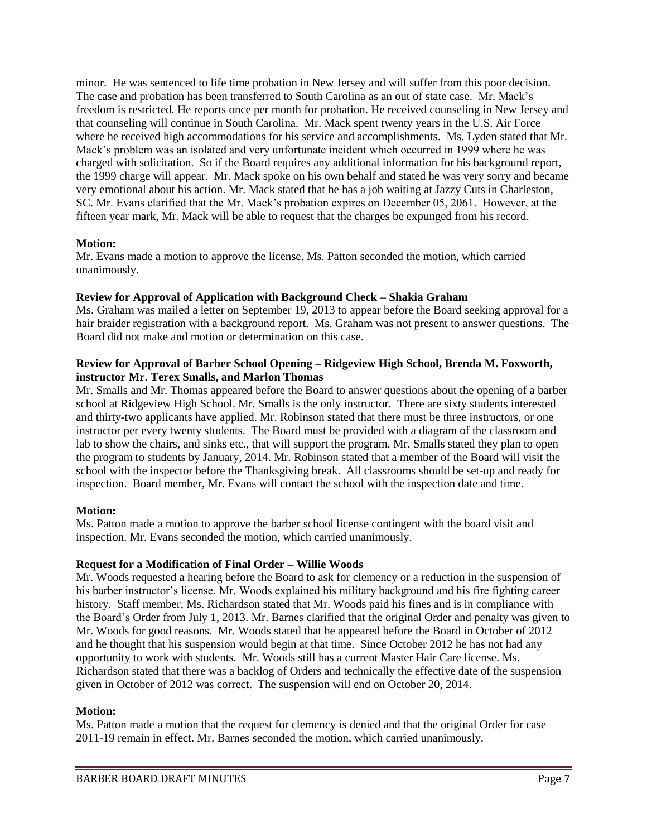minor. He was sentenced to life time probation in New Jersey and will suffer from this poor decision. The case and probation has been transferred to South Carolina as an out of state case. Mr. Mack's freedom is restricted. He reports once per month for probation. He received counseling in New Jersey and that counseling will continue in South Carolina. Mr. Mack spent twenty years in the U.S. Air Force where he received high accommodations for his service and accomplishments. Ms. Lyden stated that Mr. Mack's problem was an isolated and very unfortunate incident which occurred in 1999 where he was charged with solicitation. So if the Board requires any additional information for his background report, the 1999 charge will appear. Mr. Mack spoke on his own behalf and stated he was very sorry and became very emotional about his action. Mr. Mack stated that he has a job waiting at Jazzy Cuts in Charleston, SC. Mr. Evans clarified that the Mr. Mack's probation expires on December 05, 2061. However, at the fifteen year mark, Mr. Mack will be able to request that the charges be expunged from his record.

### **Motion:**

Mr. Evans made a motion to approve the license. Ms. Patton seconded the motion, which carried unanimously.

### **Review for Approval of Application with Background Check – Shakia Graham**

Ms. Graham was mailed a letter on September 19, 2013 to appear before the Board seeking approval for a hair braider registration with a background report. Ms. Graham was not present to answer questions. The Board did not make and motion or determination on this case.

## **Review for Approval of Barber School Opening – Ridgeview High School, Brenda M. Foxworth, instructor Mr. Terex Smalls, and Marlon Thomas**

Mr. Smalls and Mr. Thomas appeared before the Board to answer questions about the opening of a barber school at Ridgeview High School. Mr. Smalls is the only instructor. There are sixty students interested and thirty-two applicants have applied. Mr. Robinson stated that there must be three instructors, or one instructor per every twenty students. The Board must be provided with a diagram of the classroom and lab to show the chairs, and sinks etc., that will support the program. Mr. Smalls stated they plan to open the program to students by January, 2014. Mr. Robinson stated that a member of the Board will visit the school with the inspector before the Thanksgiving break. All classrooms should be set-up and ready for inspection. Board member, Mr. Evans will contact the school with the inspection date and time.

### **Motion:**

Ms. Patton made a motion to approve the barber school license contingent with the board visit and inspection. Mr. Evans seconded the motion, which carried unanimously.

#### **Request for a Modification of Final Order – Willie Woods**

Mr. Woods requested a hearing before the Board to ask for clemency or a reduction in the suspension of his barber instructor's license. Mr. Woods explained his military background and his fire fighting career history. Staff member, Ms. Richardson stated that Mr. Woods paid his fines and is in compliance with the Board's Order from July 1, 2013. Mr. Barnes clarified that the original Order and penalty was given to Mr. Woods for good reasons. Mr. Woods stated that he appeared before the Board in October of 2012 and he thought that his suspension would begin at that time. Since October 2012 he has not had any opportunity to work with students. Mr. Woods still has a current Master Hair Care license. Ms. Richardson stated that there was a backlog of Orders and technically the effective date of the suspension given in October of 2012 was correct. The suspension will end on October 20, 2014.

#### **Motion:**

Ms. Patton made a motion that the request for clemency is denied and that the original Order for case 2011-19 remain in effect. Mr. Barnes seconded the motion, which carried unanimously.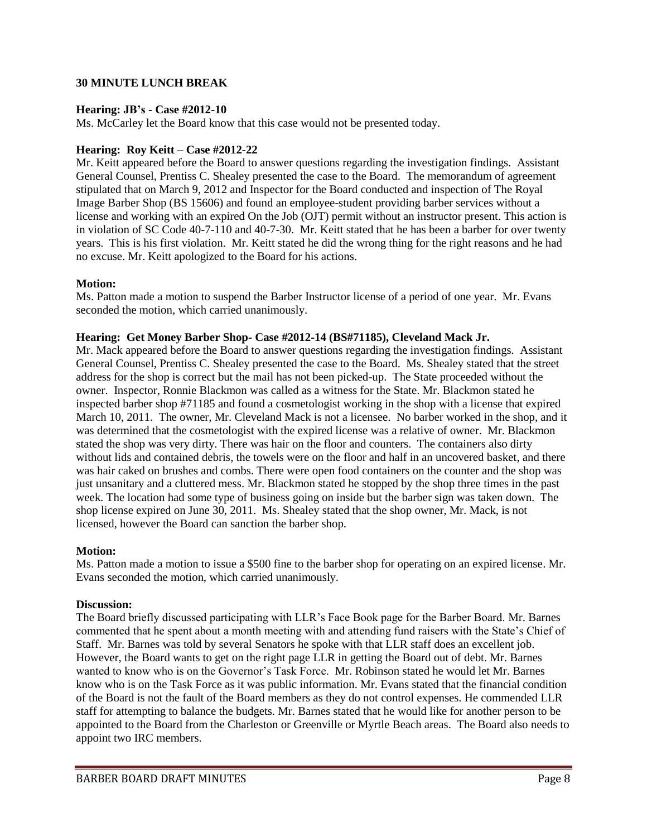### **30 MINUTE LUNCH BREAK**

#### **Hearing: JB's - Case #2012-10**

Ms. McCarley let the Board know that this case would not be presented today.

### **Hearing: Roy Keitt – Case #2012-22**

Mr. Keitt appeared before the Board to answer questions regarding the investigation findings. Assistant General Counsel, Prentiss C. Shealey presented the case to the Board. The memorandum of agreement stipulated that on March 9, 2012 and Inspector for the Board conducted and inspection of The Royal Image Barber Shop (BS 15606) and found an employee-student providing barber services without a license and working with an expired On the Job (OJT) permit without an instructor present. This action is in violation of SC Code 40-7-110 and 40-7-30. Mr. Keitt stated that he has been a barber for over twenty years. This is his first violation. Mr. Keitt stated he did the wrong thing for the right reasons and he had no excuse. Mr. Keitt apologized to the Board for his actions.

#### **Motion:**

Ms. Patton made a motion to suspend the Barber Instructor license of a period of one year. Mr. Evans seconded the motion, which carried unanimously.

#### **Hearing: Get Money Barber Shop- Case #2012-14 (BS#71185), Cleveland Mack Jr.**

Mr. Mack appeared before the Board to answer questions regarding the investigation findings. Assistant General Counsel, Prentiss C. Shealey presented the case to the Board. Ms. Shealey stated that the street address for the shop is correct but the mail has not been picked-up. The State proceeded without the owner. Inspector, Ronnie Blackmon was called as a witness for the State. Mr. Blackmon stated he inspected barber shop #71185 and found a cosmetologist working in the shop with a license that expired March 10, 2011. The owner, Mr. Cleveland Mack is not a licensee. No barber worked in the shop, and it was determined that the cosmetologist with the expired license was a relative of owner. Mr. Blackmon stated the shop was very dirty. There was hair on the floor and counters. The containers also dirty without lids and contained debris, the towels were on the floor and half in an uncovered basket, and there was hair caked on brushes and combs. There were open food containers on the counter and the shop was just unsanitary and a cluttered mess. Mr. Blackmon stated he stopped by the shop three times in the past week. The location had some type of business going on inside but the barber sign was taken down. The shop license expired on June 30, 2011. Ms. Shealey stated that the shop owner, Mr. Mack, is not licensed, however the Board can sanction the barber shop.

### **Motion:**

Ms. Patton made a motion to issue a \$500 fine to the barber shop for operating on an expired license. Mr. Evans seconded the motion, which carried unanimously.

#### **Discussion:**

The Board briefly discussed participating with LLR's Face Book page for the Barber Board. Mr. Barnes commented that he spent about a month meeting with and attending fund raisers with the State's Chief of Staff. Mr. Barnes was told by several Senators he spoke with that LLR staff does an excellent job. However, the Board wants to get on the right page LLR in getting the Board out of debt. Mr. Barnes wanted to know who is on the Governor's Task Force. Mr. Robinson stated he would let Mr. Barnes know who is on the Task Force as it was public information. Mr. Evans stated that the financial condition of the Board is not the fault of the Board members as they do not control expenses. He commended LLR staff for attempting to balance the budgets. Mr. Barnes stated that he would like for another person to be appointed to the Board from the Charleston or Greenville or Myrtle Beach areas. The Board also needs to appoint two IRC members.